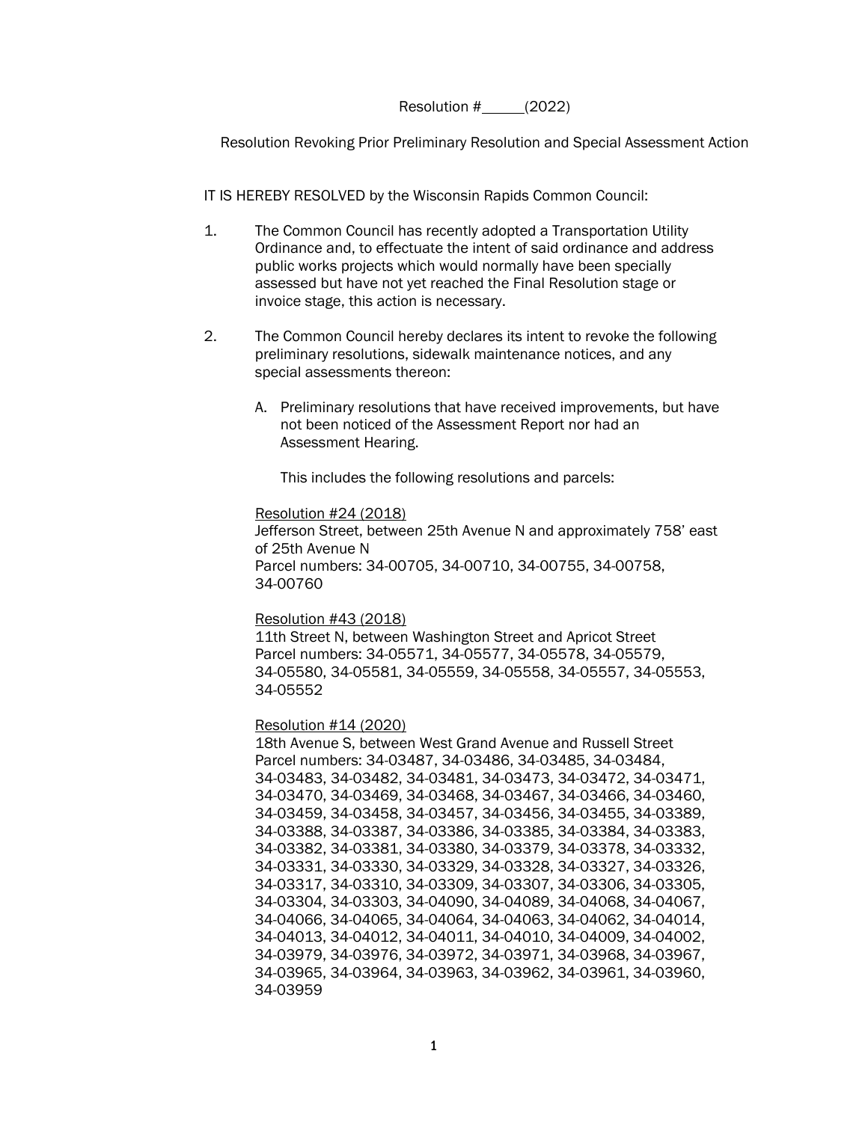# Resolution # (2022)

Resolution Revoking Prior Preliminary Resolution and Special Assessment Action

IT IS HEREBY RESOLVED by the Wisconsin Rapids Common Council:

- 1. The Common Council has recently adopted a Transportation Utility Ordinance and, to effectuate the intent of said ordinance and address public works projects which would normally have been specially assessed but have not yet reached the Final Resolution stage or invoice stage, this action is necessary.
- 2. The Common Council hereby declares its intent to revoke the following preliminary resolutions, sidewalk maintenance notices, and any special assessments thereon:
	- A. Preliminary resolutions that have received improvements, but have not been noticed of the Assessment Report nor had an Assessment Hearing.

This includes the following resolutions and parcels:

#### Resolution #24 (2018)

Jefferson Street, between 25th Avenue N and approximately 758' east of 25th Avenue N Parcel numbers: 34-00705, 34-00710, 34-00755, 34-00758, 34-00760

#### Resolution #43 (2018)

11th Street N, between Washington Street and Apricot Street Parcel numbers: 34-05571, 34-05577, 34-05578, 34-05579, 34-05580, 34-05581, 34-05559, 34-05558, 34-05557, 34-05553, 34-05552

## Resolution #14 (2020)

18th Avenue S, between West Grand Avenue and Russell Street Parcel numbers: 34-03487, 34-03486, 34-03485, 34-03484, 34-03483, 34-03482, 34-03481, 34-03473, 34-03472, 34-03471, 34-03470, 34-03469, 34-03468, 34-03467, 34-03466, 34-03460, 34-03459, 34-03458, 34-03457, 34-03456, 34-03455, 34-03389, 34-03388, 34-03387, 34-03386, 34-03385, 34-03384, 34-03383, 34-03382, 34-03381, 34-03380, 34-03379, 34-03378, 34-03332, 34-03331, 34-03330, 34-03329, 34-03328, 34-03327, 34-03326, 34-03317, 34-03310, 34-03309, 34-03307, 34-03306, 34-03305, 34-03304, 34-03303, 34-04090, 34-04089, 34-04068, 34-04067, 34-04066, 34-04065, 34-04064, 34-04063, 34-04062, 34-04014, 34-04013, 34-04012, 34-04011, 34-04010, 34-04009, 34-04002, 34-03979, 34-03976, 34-03972, 34-03971, 34-03968, 34-03967, 34-03965, 34-03964, 34-03963, 34-03962, 34-03961, 34-03960, 34-03959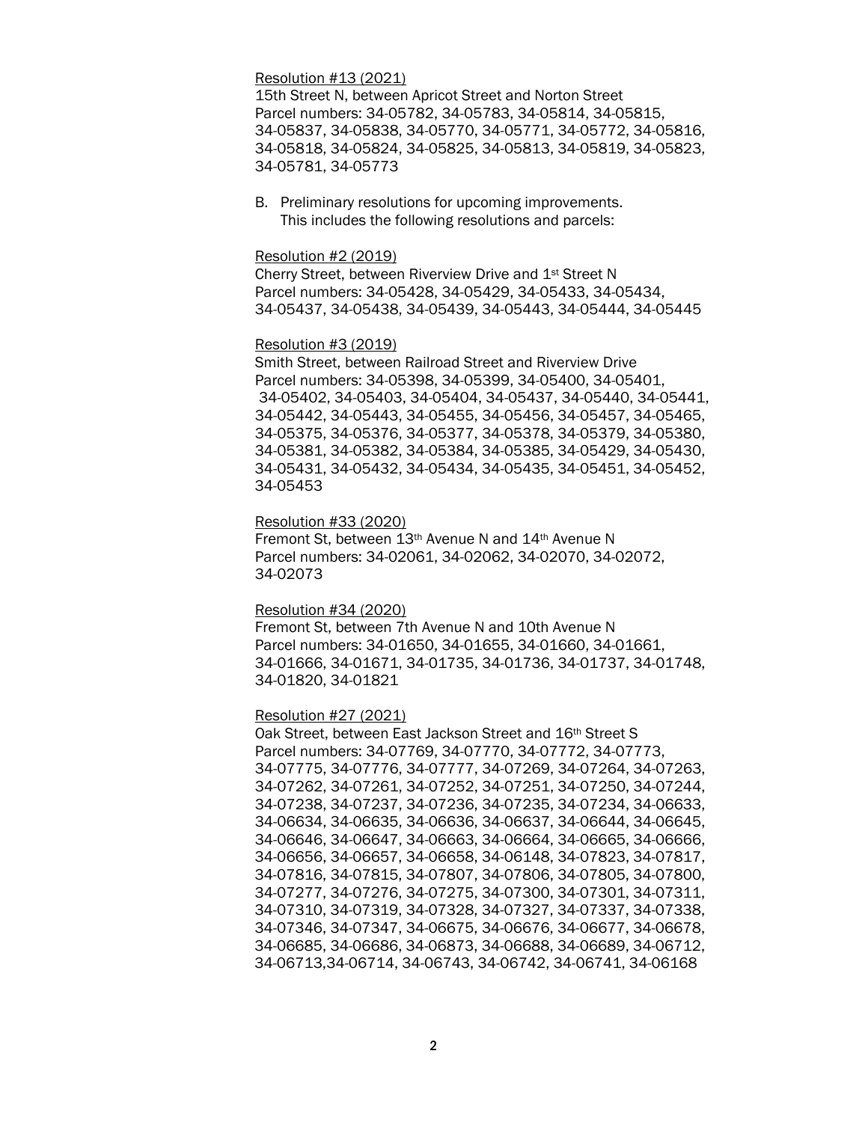# Resolution #13 (2021)

15th Street N, between Apricot Street and Norton Street Parcel numbers: 34-05782, 34-05783, 34-05814, 34-05815, 34-05837, 34-05838, 34-05770, 34-05771, 34-05772, 34-05816, 34-05818, 34-05824, 34-05825, 34-05813, 34-05819, 34-05823, 34-05781, 34-05773

B. Preliminary resolutions for upcoming improvements. This includes the following resolutions and parcels:

# Resolution #2 (2019)

Cherry Street, between Riverview Drive and 1st Street N Parcel numbers: 34-05428, 34-05429, 34-05433, 34-05434, 34-05437, 34-05438, 34-05439, 34-05443, 34-05444, 34-05445

# Resolution #3 (2019)

Smith Street, between Railroad Street and Riverview Drive Parcel numbers: 34-05398, 34-05399, 34-05400, 34-05401, 34-05402, 34-05403, 34-05404, 34-05437, 34-05440, 34-05441, 34-05442, 34-05443, 34-05455, 34-05456, 34-05457, 34-05465, 34-05375, 34-05376, 34-05377, 34-05378, 34-05379, 34-05380, 34-05381, 34-05382, 34-05384, 34-05385, 34-05429, 34-05430, 34-05431, 34-05432, 34-05434, 34-05435, 34-05451, 34-05452, 34-05453

### Resolution #33 (2020)

Fremont St, between 13th Avenue N and 14th Avenue N Parcel numbers: 34-02061, 34-02062, 34-02070, 34-02072, 34-02073

### Resolution #34 (2020)

Fremont St, between 7th Avenue N and 10th Avenue N Parcel numbers: 34-01650, 34-01655, 34-01660, 34-01661, 34-01666, 34-01671, 34-01735, 34-01736, 34-01737, 34-01748, 34-01820, 34-01821

### Resolution #27 (2021)

Oak Street, between East Jackson Street and 16th Street S Parcel numbers: 34-07769, 34-07770, 34-07772, 34-07773, 34-07775, 34-07776, 34-07777, 34-07269, 34-07264, 34-07263, 34-07262, 34-07261, 34-07252, 34-07251, 34-07250, 34-07244, 34-07238, 34-07237, 34-07236, 34-07235, 34-07234, 34-06633, 34-06634, 34-06635, 34-06636, 34-06637, 34-06644, 34-06645, 34-06646, 34-06647, 34-06663, 34-06664, 34-06665, 34-06666, 34-06656, 34-06657, 34-06658, 34-06148, 34-07823, 34-07817, 34-07816, 34-07815, 34-07807, 34-07806, 34-07805, 34-07800, 34-07277, 34-07276, 34-07275, 34-07300, 34-07301, 34-07311, 34-07310, 34-07319, 34-07328, 34-07327, 34-07337, 34-07338, 34-07346, 34-07347, 34-06675, 34-06676, 34-06677, 34-06678, 34-06685, 34-06686, 34-06873, 34-06688, 34-06689, 34-06712, 34-06713,34-06714, 34-06743, 34-06742, 34-06741, 34-06168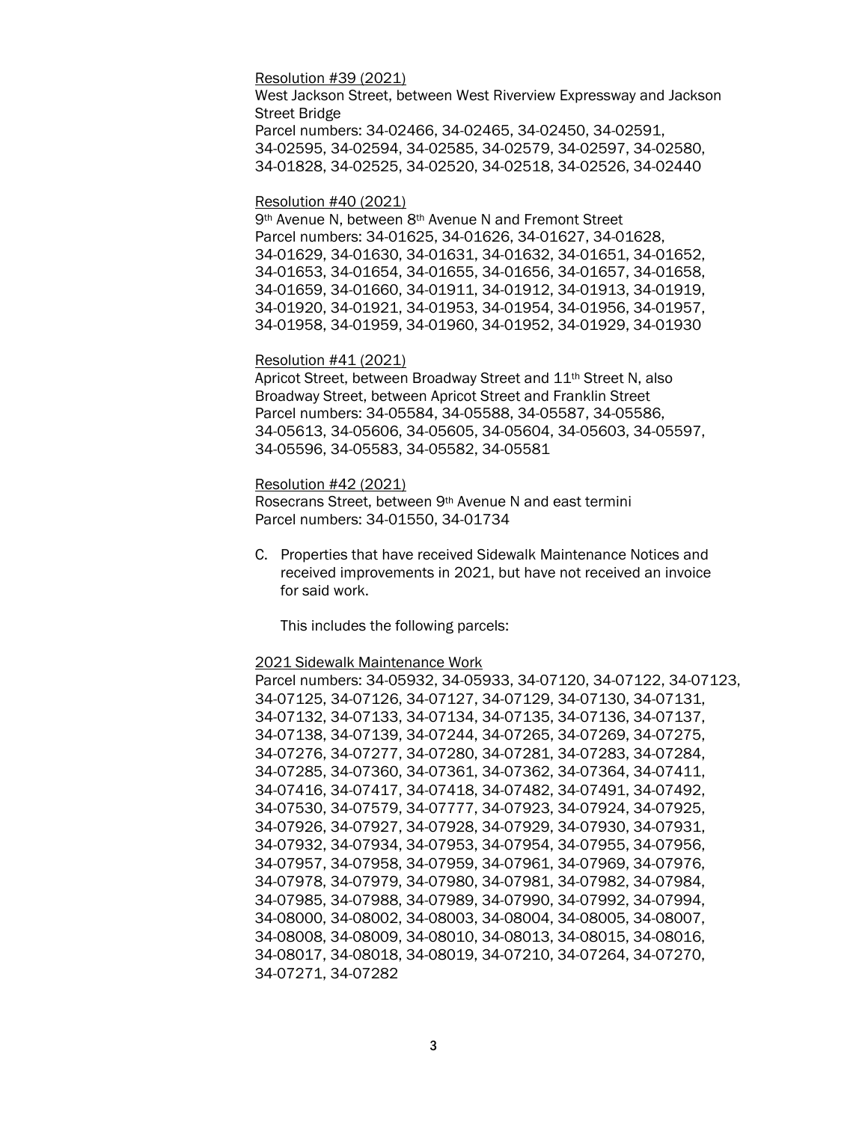Resolution #39 (2021)

West Jackson Street, between West Riverview Expressway and Jackson Street Bridge

Parcel numbers: 34-02466, 34-02465, 34-02450, 34-02591, 34-02595, 34-02594, 34-02585, 34-02579, 34-02597, 34-02580, 34-01828, 34-02525, 34-02520, 34-02518, 34-02526, 34-02440

# Resolution #40 (2021)

9th Avenue N, between 8th Avenue N and Fremont Street Parcel numbers: 34-01625, 34-01626, 34-01627, 34-01628, 34-01629, 34-01630, 34-01631, 34-01632, 34-01651, 34-01652, 34-01653, 34-01654, 34-01655, 34-01656, 34-01657, 34-01658, 34-01659, 34-01660, 34-01911, 34-01912, 34-01913, 34-01919, 34-01920, 34-01921, 34-01953, 34-01954, 34-01956, 34-01957, 34-01958, 34-01959, 34-01960, 34-01952, 34-01929, 34-01930

### Resolution #41 (2021)

Apricot Street, between Broadway Street and 11<sup>th</sup> Street N, also Broadway Street, between Apricot Street and Franklin Street Parcel numbers: 34-05584, 34-05588, 34-05587, 34-05586, 34-05613, 34-05606, 34-05605, 34-05604, 34-05603, 34-05597, 34-05596, 34-05583, 34-05582, 34-05581

### Resolution #42 (2021)

Rosecrans Street, between 9th Avenue N and east termini Parcel numbers: 34-01550, 34-01734

C. Properties that have received Sidewalk Maintenance Notices and received improvements in 2021, but have not received an invoice for said work.

This includes the following parcels:

#### 2021 Sidewalk Maintenance Work

Parcel numbers: 34-05932, 34-05933, 34-07120, 34-07122, 34-07123, 34-07125, 34-07126, 34-07127, 34-07129, 34-07130, 34-07131, 34-07132, 34-07133, 34-07134, 34-07135, 34-07136, 34-07137, 34-07138, 34-07139, 34-07244, 34-07265, 34-07269, 34-07275, 34-07276, 34-07277, 34-07280, 34-07281, 34-07283, 34-07284, 34-07285, 34-07360, 34-07361, 34-07362, 34-07364, 34-07411, 34-07416, 34-07417, 34-07418, 34-07482, 34-07491, 34-07492, 34-07530, 34-07579, 34-07777, 34-07923, 34-07924, 34-07925, 34-07926, 34-07927, 34-07928, 34-07929, 34-07930, 34-07931, 34-07932, 34-07934, 34-07953, 34-07954, 34-07955, 34-07956, 34-07957, 34-07958, 34-07959, 34-07961, 34-07969, 34-07976, 34-07978, 34-07979, 34-07980, 34-07981, 34-07982, 34-07984, 34-07985, 34-07988, 34-07989, 34-07990, 34-07992, 34-07994, 34-08000, 34-08002, 34-08003, 34-08004, 34-08005, 34-08007, 34-08008, 34-08009, 34-08010, 34-08013, 34-08015, 34-08016, 34-08017, 34-08018, 34-08019, 34-07210, 34-07264, 34-07270, 34-07271, 34-07282